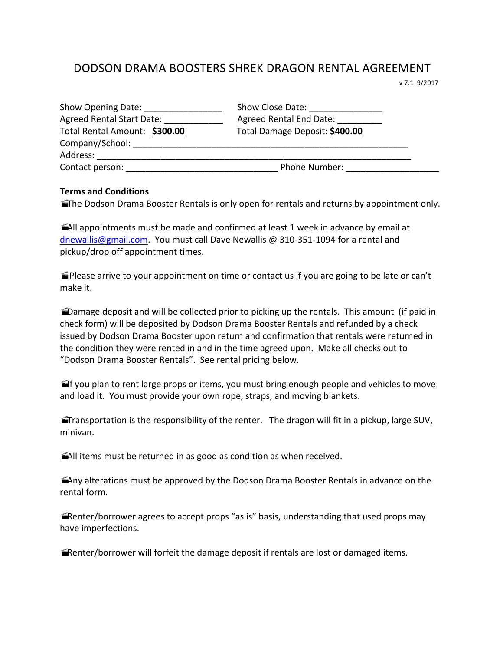## DODSON DRAMA BOOSTERS SHREK DRAGON RENTAL AGREEMENT

 v 7.1 9/2017

| Show Opening Date:<br><b>Agreed Rental Start Date:</b> | Show Close Date:<br>Agreed Rental End Date: |
|--------------------------------------------------------|---------------------------------------------|
| Total Rental Amount: \$300.00                          | Total Damage Deposit: \$400.00              |
| Company/School:                                        |                                             |
| Address:                                               |                                             |
| Contact person:                                        | <b>Phone Number:</b>                        |

## **Terms and Conditions**

The Dodson Drama Booster Rentals is only open for rentals and returns by appointment only.

 $\blacksquare$ All appointments must be made and confirmed at least 1 week in advance by email at dnewallis@gmail.com. You must call Dave Newallis @ 310-351-1094 for a rental and pickup/drop off appointment times.

 $\blacktriangleright$ Please arrive to your appointment on time or contact us if you are going to be late or can't make it.

Damage deposit and will be collected prior to picking up the rentals. This amount (if paid in check form) will be deposited by Dodson Drama Booster Rentals and refunded by a check issued by Dodson Drama Booster upon return and confirmation that rentals were returned in the condition they were rented in and in the time agreed upon. Make all checks out to "Dodson Drama Booster Rentals". See rental pricing below.

 $\blacksquare$  f you plan to rent large props or items, you must bring enough people and vehicles to move and load it. You must provide your own rope, straps, and moving blankets.

**Transportation is the responsibility of the renter.** The dragon will fit in a pickup, large SUV, minivan.

All items must be returned in as good as condition as when received.

 $\triangle$  Any alterations must be approved by the Dodson Drama Booster Rentals in advance on the rental form.

 $\blacksquare$ Renter/borrower agrees to accept props "as is" basis, understanding that used props may have imperfections.

**Examble 1** and the other will forfeit the damage deposit if rentals are lost or damaged items.